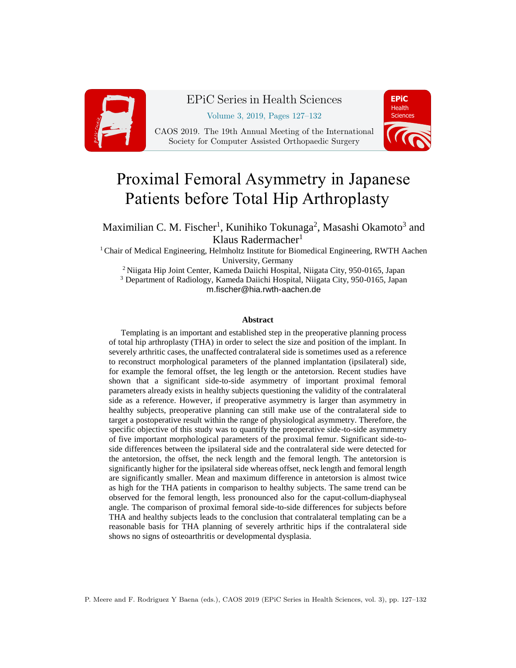

## EPiC Series in Health Sciences

Volume 3, 2019, Pages 127–132

CAOS 2019. The 19th Annual Meeting of the International Society for Computer Assisted Orthopaedic Surgery



# Proximal Femoral Asymmetry in Japanese Patients before Total Hip Arthroplasty

Maximilian C. M. Fischer<sup>1</sup>, Kunihiko Tokunaga<sup>2</sup>, Masashi Okamoto<sup>3</sup> and Klaus Radermacher<sup>1</sup>

<sup>1</sup> Chair of Medical Engineering, Helmholtz Institute for Biomedical Engineering, RWTH Aachen University, Germany

<sup>2</sup> Niigata Hip Joint Center, Kameda Daiichi Hospital, Niigata City, 950-0165, Japan <sup>3</sup> Department of Radiology, Kameda Daiichi Hospital, Niigata City, 950-0165, Japan m.fischer@hia.rwth-aachen.de

#### **Abstract**

Templating is an important and established step in the preoperative planning process of total hip arthroplasty (THA) in order to select the size and position of the implant. In severely arthritic cases, the unaffected contralateral side is sometimes used as a reference to reconstruct morphological parameters of the planned implantation (ipsilateral) side, for example the femoral offset, the leg length or the antetorsion. Recent studies have shown that a significant side-to-side asymmetry of important proximal femoral parameters already exists in healthy subjects questioning the validity of the contralateral side as a reference. However, if preoperative asymmetry is larger than asymmetry in healthy subjects, preoperative planning can still make use of the contralateral side to target a postoperative result within the range of physiological asymmetry. Therefore, the specific objective of this study was to quantify the preoperative side-to-side asymmetry of five important morphological parameters of the proximal femur. Significant side-toside differences between the ipsilateral side and the contralateral side were detected for the antetorsion, the offset, the neck length and the femoral length. The antetorsion is significantly higher for the ipsilateral side whereas offset, neck length and femoral length are significantly smaller. Mean and maximum difference in antetorsion is almost twice as high for the THA patients in comparison to healthy subjects. The same trend can be observed for the femoral length, less pronounced also for the caput-collum-diaphyseal angle. The comparison of proximal femoral side-to-side differences for subjects before THA and healthy subjects leads to the conclusion that contralateral templating can be a reasonable basis for THA planning of severely arthritic hips if the contralateral side shows no signs of osteoarthritis or developmental dysplasia.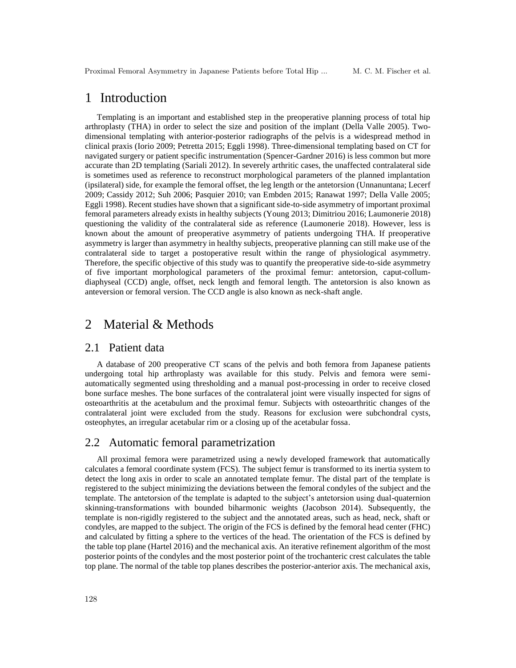Proximal Femoral Asymmetry in Japanese Patients before Total Hip ... M. C. M. Fischer et al.

### 1 Introduction

Templating is an important and established step in the preoperative planning process of total hip arthroplasty (THA) in order to select the size and position of the implant (Della Valle 2005). Twodimensional templating with anterior-posterior radiographs of the pelvis is a widespread method in clinical praxis (Iorio 2009; Petretta 2015; Eggli 1998). Three-dimensional templating based on CT for navigated surgery or patient specific instrumentation (Spencer-Gardner 2016) is less common but more accurate than 2D templating (Sariali 2012). In severely arthritic cases, the unaffected contralateral side is sometimes used as reference to reconstruct morphological parameters of the planned implantation (ipsilateral) side, for example the femoral offset, the leg length or the antetorsion (Unnanuntana; Lecerf 2009; Cassidy 2012; Suh 2006; Pasquier 2010; van Embden 2015; Ranawat 1997; Della Valle 2005; Eggli 1998). Recent studies have shown that a significant side-to-side asymmetry of important proximal femoral parameters already exists in healthy subjects (Young 2013; Dimitriou 2016; Laumonerie 2018) questioning the validity of the contralateral side as reference (Laumonerie 2018). However, less is known about the amount of preoperative asymmetry of patients undergoing THA. If preoperative asymmetry is larger than asymmetry in healthy subjects, preoperative planning can still make use of the contralateral side to target a postoperative result within the range of physiological asymmetry. Therefore, the specific objective of this study was to quantify the preoperative side-to-side asymmetry of five important morphological parameters of the proximal femur: antetorsion, caput-collumdiaphyseal (CCD) angle, offset, neck length and femoral length. The antetorsion is also known as anteversion or femoral version. The CCD angle is also known as neck-shaft angle.

### 2 Material & Methods

#### 2.1 Patient data

A database of 200 preoperative CT scans of the pelvis and both femora from Japanese patients undergoing total hip arthroplasty was available for this study. Pelvis and femora were semiautomatically segmented using thresholding and a manual post-processing in order to receive closed bone surface meshes. The bone surfaces of the contralateral joint were visually inspected for signs of osteoarthritis at the acetabulum and the proximal femur. Subjects with osteoarthritic changes of the contralateral joint were excluded from the study. Reasons for exclusion were subchondral cysts, osteophytes, an irregular acetabular rim or a closing up of the acetabular fossa.

#### 2.2 Automatic femoral parametrization

All proximal femora were parametrized using a newly developed framework that automatically calculates a femoral coordinate system (FCS). The subject femur is transformed to its inertia system to detect the long axis in order to scale an annotated template femur. The distal part of the template is registered to the subject minimizing the deviations between the femoral condyles of the subject and the template. The antetorsion of the template is adapted to the subject's antetorsion using dual-quaternion skinning-transformations with bounded biharmonic weights (Jacobson 2014). Subsequently, the template is non-rigidly registered to the subject and the annotated areas, such as head, neck, shaft or condyles, are mapped to the subject. The origin of the FCS is defined by the femoral head center (FHC) and calculated by fitting a sphere to the vertices of the head. The orientation of the FCS is defined by the table top plane (Hartel 2016) and the mechanical axis. An iterative refinement algorithm of the most posterior points of the condyles and the most posterior point of the trochanteric crest calculates the table top plane. The normal of the table top planes describes the posterior-anterior axis. The mechanical axis,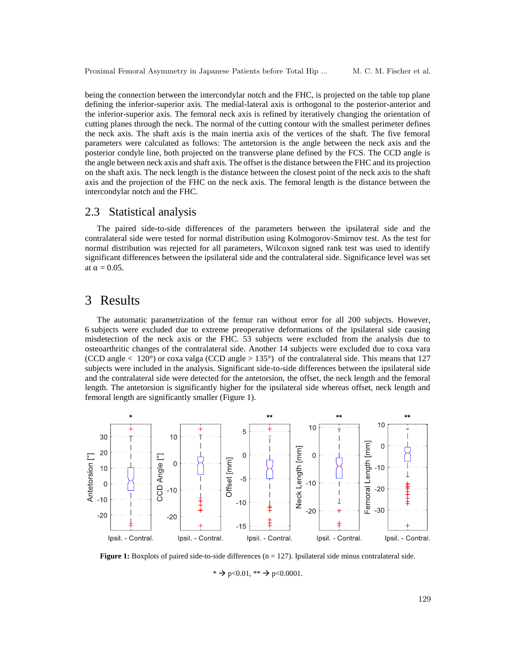being the connection between the intercondylar notch and the FHC, is projected on the table top plane defining the inferior-superior axis. The medial-lateral axis is orthogonal to the posterior-anterior and the inferior-superior axis. The femoral neck axis is refined by iteratively changing the orientation of cutting planes through the neck. The normal of the cutting contour with the smallest perimeter defines the neck axis. The shaft axis is the main inertia axis of the vertices of the shaft. The five femoral parameters were calculated as follows: The antetorsion is the angle between the neck axis and the posterior condyle line, both projected on the transverse plane defined by the FCS. The CCD angle is the angle between neck axis and shaft axis. The offset is the distance between the FHC and its projection on the shaft axis. The neck length is the distance between the closest point of the neck axis to the shaft axis and the projection of the FHC on the neck axis. The femoral length is the distance between the intercondylar notch and the FHC.

#### 2.3 Statistical analysis

The paired side-to-side differences of the parameters between the ipsilateral side and the contralateral side were tested for normal distribution using Kolmogorov-Smirnov test. As the test for normal distribution was rejected for all parameters, Wilcoxon signed rank test was used to identify significant differences between the ipsilateral side and the contralateral side. Significance level was set at  $\alpha = 0.05$ .

### 3 Results

The automatic parametrization of the femur ran without error for all 200 subjects. However, 6 subjects were excluded due to extreme preoperative deformations of the ipsilateral side causing misdetection of the neck axis or the FHC. 53 subjects were excluded from the analysis due to osteoarthritic changes of the contralateral side. Another 14 subjects were excluded due to coxa vara (CCD angle  $\langle 120^\circ \rangle$  or coxa valga (CCD angle  $> 135^\circ$ ) of the contralateral side. This means that 127 subjects were included in the analysis. Significant side-to-side differences between the ipsilateral side and the contralateral side were detected for the antetorsion, the offset, the neck length and the femoral length. The antetorsion is significantly higher for the ipsilateral side whereas offset, neck length and femoral length are significantly smaller [\(Figure 1\)](#page-2-0).



<span id="page-2-0"></span>**Figure 1:** Boxplots of paired side-to-side differences (n = 127). Ipsilateral side minus contralateral side.

\*  $\rightarrow$  p<0.01, \*\*  $\rightarrow$  p<0.0001.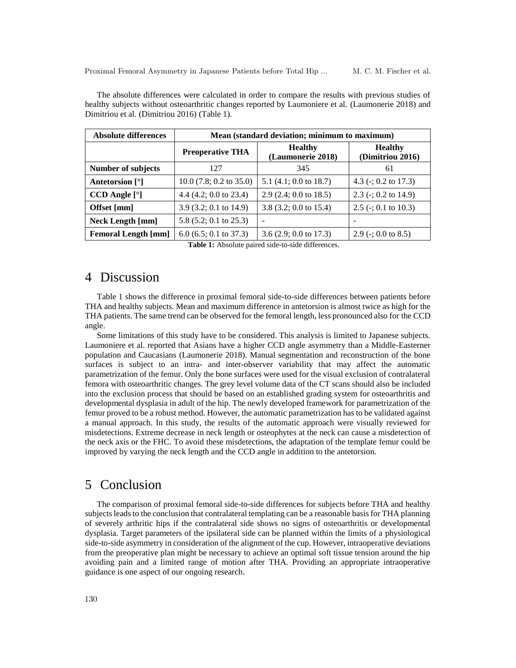The absolute differences were calculated in order to compare the results with previous studies of healthy subjects without osteoarthritic changes reported by Laumoniere et al. (Laumonerie 2018) and Dimitriou et al. (Dimitriou 2016) [\(Table 1\)](#page-3-0).

| <b>Absolute differences</b> | Mean (standard deviation; minimum to maximum) |                                     |                                    |
|-----------------------------|-----------------------------------------------|-------------------------------------|------------------------------------|
|                             | <b>Preoperative THA</b>                       | <b>Healthy</b><br>(Laumonerie 2018) | <b>Healthy</b><br>(Dimitriou 2016) |
| Number of subjects          | 127                                           | 345                                 | 61                                 |
| Antetorsion [°]             | $10.0$ (7.8; 0.2 to 35.0)                     | 5.1 $(4.1; 0.0$ to 18.7)            | 4.3 ( $\div$ ; 0.2 to 17.3)        |
| $CCD$ Angle $[°]$           | 4.4 $(4.2; 0.0$ to 23.4)                      | $2.9$ (2.4; 0.0 to 18.5)            | 2.3 ( $\div$ ; 0.2 to 14.9)        |
| Offset [mm]                 | 3.9 $(3.2; 0.1$ to 14.9)                      | 3.8 $(3.2; 0.0 \text{ to } 15.4)$   | 2.5 ( $\div$ ; 0.1 to 10.3)        |
| <b>Neck Length [mm]</b>     | 5.8 $(5.2; 0.1$ to $25.3)$                    | $\overline{\phantom{0}}$            | -                                  |
| <b>Femoral Length [mm]</b>  | 6.0 (6.5; 0.1 to 37.3)                        | 3.6 $(2.9; 0.0$ to 17.3)            | 2.9 ( $\div$ ; 0.0 to 8.5)         |

Table 1: Absolute paired side-to-side differences.

### <span id="page-3-0"></span>4 Discussion

[Table 1](#page-3-0) shows the difference in proximal femoral side-to-side differences between patients before THA and healthy subjects. Mean and maximum difference in antetorsion is almost twice as high for the THA patients. The same trend can be observed for the femoral length, less pronounced also for the CCD angle.

Some limitations of this study have to be considered. This analysis is limited to Japanese subjects. Laumoniere et al. reported that Asians have a higher CCD angle asymmetry than a Middle-Easterner population and Caucasians (Laumonerie 2018). Manual segmentation and reconstruction of the bone surfaces is subject to an intra- and inter-observer variability that may affect the automatic parametrization of the femur. Only the bone surfaces were used for the visual exclusion of contralateral femora with osteoarthritic changes. The grey level volume data of the CT scans should also be included into the exclusion process that should be based on an established grading system for osteoarthritis and developmental dysplasia in adult of the hip. The newly developed framework for parametrization of the femur proved to be a robust method. However, the automatic parametrization has to be validated against a manual approach. In this study, the results of the automatic approach were visually reviewed for misdetections. Extreme decrease in neck length or osteophytes at the neck can cause a misdetection of the neck axis or the FHC. To avoid these misdetections, the adaptation of the template femur could be improved by varying the neck length and the CCD angle in addition to the antetorsion.

### 5 Conclusion

The comparison of proximal femoral side-to-side differences for subjects before THA and healthy subjects leads to the conclusion that contralateral templating can be a reasonable basis for THA planning of severely arthritic hips if the contralateral side shows no signs of osteoarthritis or developmental dysplasia. Target parameters of the ipsilateral side can be planned within the limits of a physiological side-to-side asymmetry in consideration of the alignment of the cup. However, intraoperative deviations from the preoperative plan might be necessary to achieve an optimal soft tissue tension around the hip avoiding pain and a limited range of motion after THA. Providing an appropriate intraoperative guidance is one aspect of our ongoing research.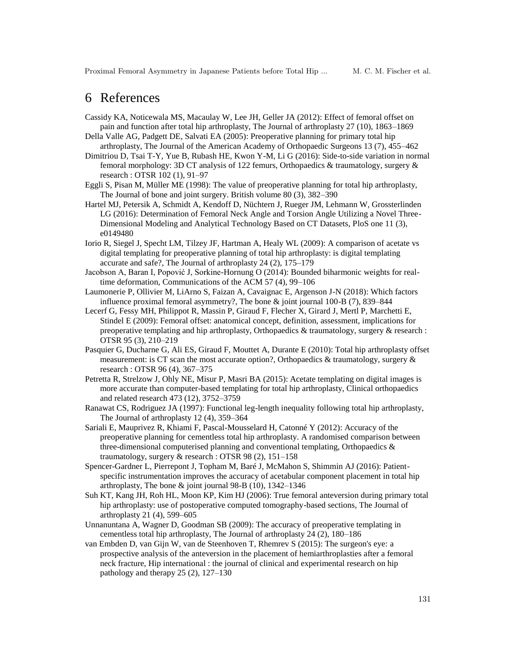Proximal Femoral Asymmetry in Japanese Patients before Total Hip ... M. C. M. Fischer et al.

### 6 References

- Cassidy KA, Noticewala MS, Macaulay W, Lee JH, Geller JA (2012): Effect of femoral offset on pain and function after total hip arthroplasty, The Journal of arthroplasty 27 (10), 1863–1869
- Della Valle AG, Padgett DE, Salvati EA (2005): Preoperative planning for primary total hip arthroplasty, The Journal of the American Academy of Orthopaedic Surgeons 13 (7), 455–462
- Dimitriou D, Tsai T-Y, Yue B, Rubash HE, Kwon Y-M, Li G (2016): Side-to-side variation in normal femoral morphology: 3D CT analysis of 122 femurs, Orthopaedics & traumatology, surgery & research : OTSR 102 (1), 91–97
- Eggli S, Pisan M, Müller ME (1998): The value of preoperative planning for total hip arthroplasty, The Journal of bone and joint surgery. British volume 80 (3), 382–390
- Hartel MJ, Petersik A, Schmidt A, Kendoff D, Nüchtern J, Rueger JM, Lehmann W, Grossterlinden LG (2016): Determination of Femoral Neck Angle and Torsion Angle Utilizing a Novel Three-Dimensional Modeling and Analytical Technology Based on CT Datasets, PloS one 11 (3), e0149480
- Iorio R, Siegel J, Specht LM, Tilzey JF, Hartman A, Healy WL (2009): A comparison of acetate vs digital templating for preoperative planning of total hip arthroplasty: is digital templating accurate and safe?, The Journal of arthroplasty 24 (2), 175–179
- Jacobson A, Baran I, Popović J, Sorkine-Hornung O (2014): Bounded biharmonic weights for realtime deformation, Communications of the ACM 57 (4), 99–106
- Laumonerie P, Ollivier M, LiArno S, Faizan A, Cavaignac E, Argenson J-N (2018): Which factors influence proximal femoral asymmetry?, The bone & joint journal 100-B (7), 839–844
- Lecerf G, Fessy MH, Philippot R, Massin P, Giraud F, Flecher X, Girard J, Mertl P, Marchetti E, Stindel E (2009): Femoral offset: anatomical concept, definition, assessment, implications for preoperative templating and hip arthroplasty, Orthopaedics & traumatology, surgery & research : OTSR 95 (3), 210–219
- Pasquier G, Ducharne G, Ali ES, Giraud F, Mouttet A, Durante E (2010): Total hip arthroplasty offset measurement: is CT scan the most accurate option?, Orthopaedics & traumatology, surgery & research : OTSR 96 (4), 367–375
- Petretta R, Strelzow J, Ohly NE, Misur P, Masri BA (2015): Acetate templating on digital images is more accurate than computer-based templating for total hip arthroplasty, Clinical orthopaedics and related research 473 (12), 3752–3759
- Ranawat CS, Rodriguez JA (1997): Functional leg-length inequality following total hip arthroplasty, The Journal of arthroplasty 12 (4), 359–364
- Sariali E, Mauprivez R, Khiami F, Pascal-Mousselard H, Catonné Y (2012): Accuracy of the preoperative planning for cementless total hip arthroplasty. A randomised comparison between three-dimensional computerised planning and conventional templating, Orthopaedics & traumatology, surgery & research : OTSR 98 (2), 151–158
- Spencer-Gardner L, Pierrepont J, Topham M, Baré J, McMahon S, Shimmin AJ (2016): Patientspecific instrumentation improves the accuracy of acetabular component placement in total hip arthroplasty, The bone & joint journal 98-B (10), 1342–1346
- Suh KT, Kang JH, Roh HL, Moon KP, Kim HJ (2006): True femoral anteversion during primary total hip arthroplasty: use of postoperative computed tomography-based sections, The Journal of arthroplasty 21 (4), 599–605
- Unnanuntana A, Wagner D, Goodman SB (2009): The accuracy of preoperative templating in cementless total hip arthroplasty, The Journal of arthroplasty 24 (2), 180–186
- van Embden D, van Gijn W, van de Steenhoven T, Rhemrev S (2015): The surgeon's eye: a prospective analysis of the anteversion in the placement of hemiarthroplasties after a femoral neck fracture, Hip international : the journal of clinical and experimental research on hip pathology and therapy 25 (2), 127–130